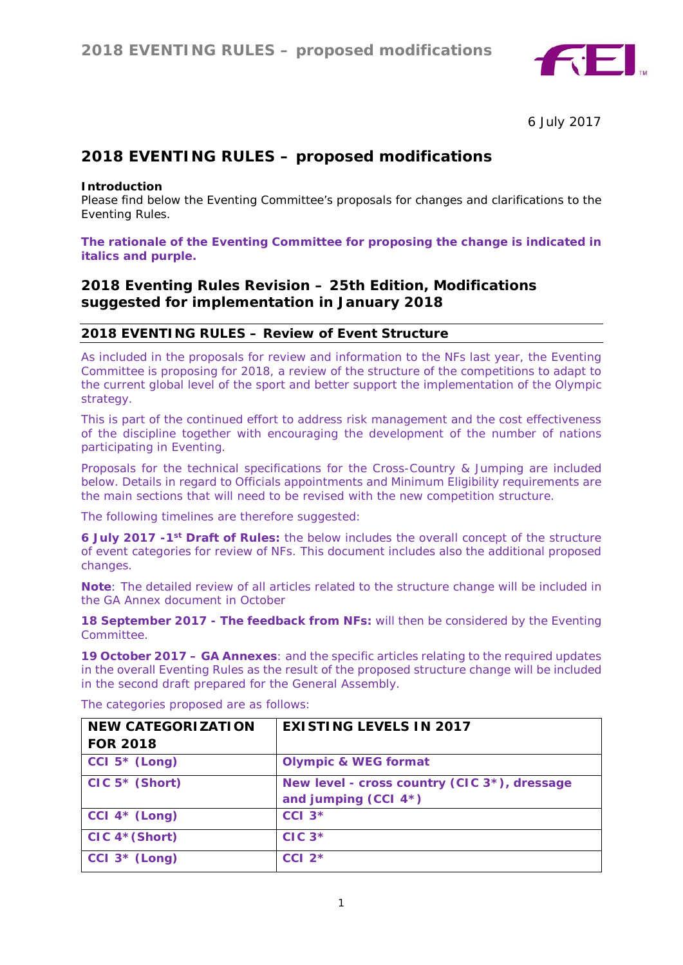

6 July 2017

# **2018 EVENTING RULES – proposed modifications**

#### **Introduction**

Please find below the Eventing Committee's proposals for changes and clarifications to the Eventing Rules.

#### *The rationale of the Eventing Committee for proposing the change is indicated in italics and purple.*

# **2018 Eventing Rules Revision – 25th Edition, Modifications suggested for implementation in January 2018**

# **2018 EVENTING RULES – Review of Event Structure**

As included in the proposals for review and information to the NFs last year, the Eventing Committee is proposing for 2018, a review of the structure of the competitions to adapt to the current global level of the sport and better support the implementation of the Olympic strategy.

This is part of the continued effort to address risk management and the cost effectiveness of the discipline together with encouraging the development of the number of nations participating in Eventing.

Proposals for the technical specifications for the Cross-Country & Jumping are included below. Details in regard to Officials appointments and Minimum Eligibility requirements are the main sections that will need to be revised with the new competition structure.

The following timelines are therefore suggested:

**6 July 2017 -1st Draft of Rules:** the below includes the overall concept of the structure of event categories for review of NFs. This document includes also the additional proposed changes.

**Note**: The detailed review of all articles related to the structure change will be included in the GA Annex document in October

**18 September 2017 - The feedback from NFs:** will then be considered by the Eventing **Committee** 

**19 October 2017 – GA Annexes**: and the specific articles relating to the required updates in the overall Eventing Rules as the result of the proposed structure change will be included in the second draft prepared for the General Assembly.

| <b>NEW CATEGORIZATION</b>    | <b>EXISTING LEVELS IN 2017</b>                                       |
|------------------------------|----------------------------------------------------------------------|
| <b>FOR 2018</b>              |                                                                      |
| CCI $5*$ (Long)              | <b>Olympic &amp; WEG format</b>                                      |
| $CIC 5* (Short)$             | New level - cross country (CIC 3*), dressage<br>and jumping (CCI 4*) |
| CCI $4*$ (Long)              | $CCI$ $3*$                                                           |
| $CIC$ 4 <sup>*</sup> (Short) | $CIC$ 3 <sup>*</sup>                                                 |
| CCI $3*$ (Long)              | $CCI$ 2 <sup>*</sup>                                                 |

The categories proposed are as follows: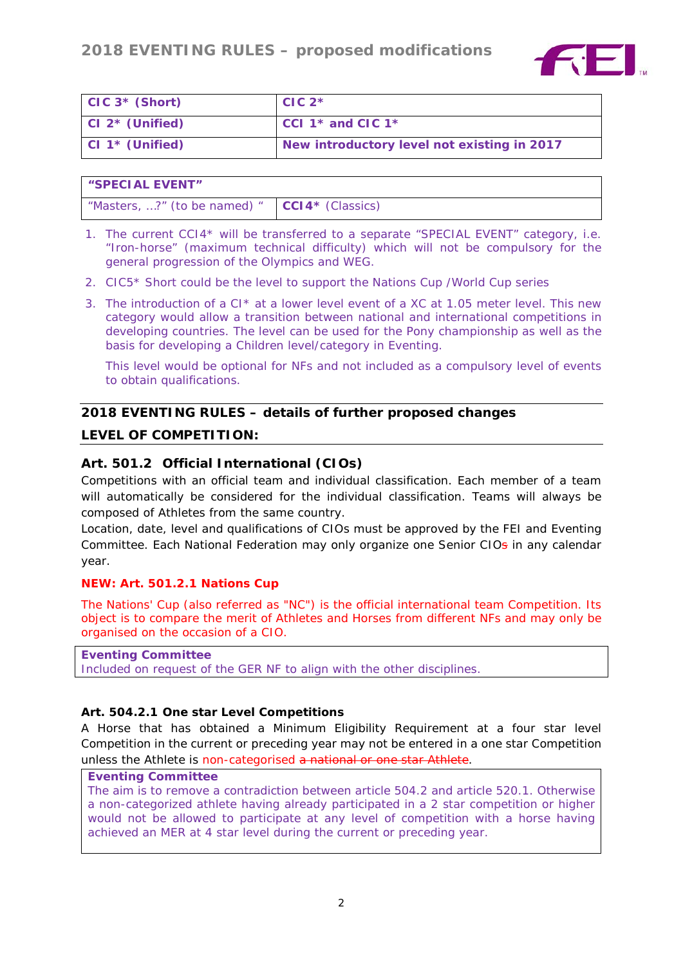

| $CIC 3* (Short)$ | $CIC$ 2*                                    |
|------------------|---------------------------------------------|
| CI 2* (Unified)  | CCl 1 <sup>*</sup> and ClC 1 <sup>*</sup>   |
| CI 1* (Unified)  | New introductory level not existing in 2017 |

| <b>"SPECIAL EVENT"</b>                           |  |
|--------------------------------------------------|--|
| "Masters, ?" (to be named) " $ CCI4*$ (Classics) |  |

- 1. The current CCI4\* will be transferred to a separate "SPECIAL EVENT" category, i.e. "Iron-horse" (maximum technical difficulty) which will not be compulsory for the general progression of the Olympics and WEG.
- 2. CIC5\* Short could be the level to support the Nations Cup /World Cup series
- 3. The introduction of a CI\* at a lower level event of a XC at 1.05 meter level. This new category would allow a transition between national and international competitions in developing countries. The level can be used for the Pony championship as well as the basis for developing a Children level/category in Eventing.

This level would be optional for NFs and not included as a compulsory level of events to obtain qualifications.

# **2018 EVENTING RULES – details of further proposed changes**

# **LEVEL OF COMPETITION:**

# **Art. 501.2 Official International (CIOs)**

Competitions with an official team and individual classification. Each member of a team will automatically be considered for the individual classification. Teams will always be composed of Athletes from the same country.

Location, date, level and qualifications of CIOs must be approved by the FEI and Eventing Committee. Each National Federation may only organize one Senior CIOs in any calendar year.

## **NEW: Art. 501.2.1 Nations Cup**

The Nations' Cup (also referred as "NC") is the official international team Competition. Its object is to compare the merit of Athletes and Horses from different NFs and may only be organised on the occasion of a CIO.

*Eventing Committee Included on request of the GER NF to align with the other disciplines.*

## **Art. 504.2.1 One star Level Competitions**

A Horse that has obtained a Minimum Eligibility Requirement at a four star level Competition in the current or preceding year may not be entered in a one star Competition unless the Athlete is non-categorised a national or one star Athlete.

#### *Eventing Committee*

*The aim is to remove a contradiction between article 504.2 and article 520.1. Otherwise a non-categorized athlete having already participated in a 2 star competition or higher would not be allowed to participate at any level of competition with a horse having achieved an MER at 4 star level during the current or preceding year.*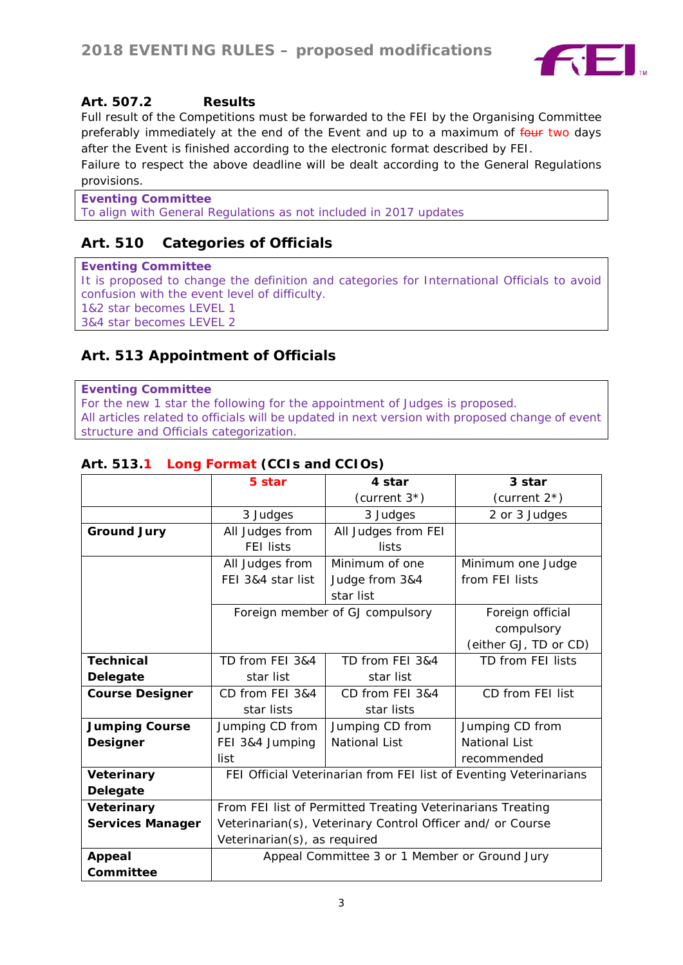

# **Art. 507.2 Results**

Full result of the Competitions must be forwarded to the FEI by the Organising Committee preferably immediately at the end of the Event and up to a maximum of four two days after the Event is finished according to the electronic format described by FEI.

Failure to respect the above deadline will be dealt according to the General Regulations provisions.

*Eventing Committee To align with General Regulations as not included in 2017 updates*

# **Art. 510 Categories of Officials**

*Eventing Committee It is proposed to change the definition and categories for International Officials to avoid confusion with the event level of difficulty. 1&2 star becomes LEVEL 1 3&4 star becomes LEVEL 2*

# **Art. 513 Appointment of Officials**

#### *Eventing Committee*

*For the new 1 star the following for the appointment of Judges is proposed. All articles related to officials will be updated in next version with proposed change of event structure and Officials categorization.*

# **Art. 513.1 Long Format (CCIs and CCIOs)**

|                         | 5 star                                                            | 4 star                          | 3 star                |
|-------------------------|-------------------------------------------------------------------|---------------------------------|-----------------------|
|                         |                                                                   |                                 |                       |
|                         |                                                                   | (current $3*$ )                 | (current $2^*$ )      |
|                         | 3 Judges                                                          | 3 Judges                        | 2 or 3 Judges         |
| <b>Ground Jury</b>      | All Judges from                                                   | All Judges from FEI             |                       |
|                         | <b>FEI lists</b>                                                  | lists                           |                       |
|                         | All Judges from                                                   | Minimum of one                  | Minimum one Judge     |
|                         | FEI 3&4 star list                                                 | Judge from 3&4                  | from FEI lists        |
|                         |                                                                   | star list                       |                       |
|                         |                                                                   | Foreign member of GJ compulsory | Foreign official      |
|                         |                                                                   |                                 | compulsory            |
|                         |                                                                   |                                 | (either GJ, TD or CD) |
| <b>Technical</b>        | TD from FEI 3&4                                                   | TD from FEI 3&4                 | TD from FEI lists     |
| <b>Delegate</b>         | star list                                                         | star list                       |                       |
| <b>Course Designer</b>  | CD from FEI 3&4                                                   | CD from FEI 3&4                 | CD from FEI list      |
|                         | star lists                                                        | star lists                      |                       |
| <b>Jumping Course</b>   | Jumping CD from<br>Jumping CD from<br>Jumping CD from             |                                 |                       |
| Designer                | National List<br>FEI 3&4 Jumping<br><b>National List</b>          |                                 |                       |
|                         | list                                                              | recommended                     |                       |
| Veterinary              | FEI Official Veterinarian from FEI list of Eventing Veterinarians |                                 |                       |
| <b>Delegate</b>         |                                                                   |                                 |                       |
| Veterinary              | From FEI list of Permitted Treating Veterinarians Treating        |                                 |                       |
| <b>Services Manager</b> | Veterinarian(s), Veterinary Control Officer and/ or Course        |                                 |                       |
|                         | Veterinarian(s), as required                                      |                                 |                       |
| <b>Appeal</b>           | Appeal Committee 3 or 1 Member or Ground Jury                     |                                 |                       |
| Committee               |                                                                   |                                 |                       |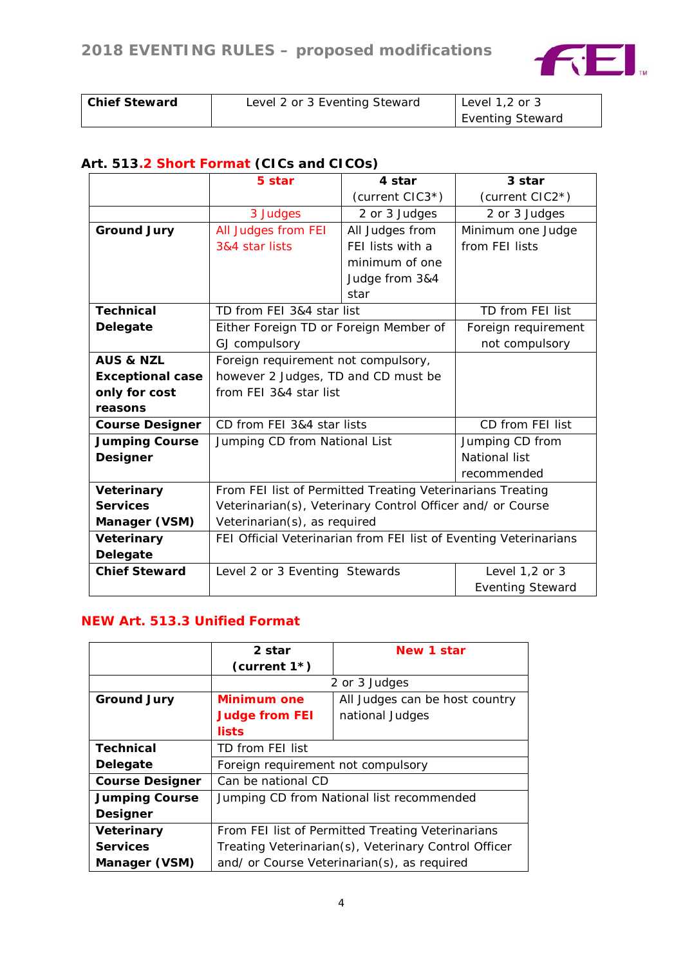

| <b>Chief Steward</b> | Level 2 or 3 Eventing Steward | Level $1,2$ or $3$      |
|----------------------|-------------------------------|-------------------------|
|                      |                               | <b>Eventing Steward</b> |

# **Art. 513.2 Short Format (CICs and CICOs)**

|                         | 5 star                                                            | 4 star           | 3 star                  |
|-------------------------|-------------------------------------------------------------------|------------------|-------------------------|
|                         |                                                                   | (current CIC3*)  | (current CIC2*)         |
|                         | 3 Judges                                                          | 2 or 3 Judges    | 2 or 3 Judges           |
| <b>Ground Jury</b>      | All Judges from FEI                                               | All Judges from  | Minimum one Judge       |
|                         | 3&4 star lists                                                    | FEI lists with a | from FEI lists          |
|                         |                                                                   | minimum of one   |                         |
|                         |                                                                   | Judge from 3&4   |                         |
|                         |                                                                   | star             |                         |
| <b>Technical</b>        | TD from FEI 3&4 star list                                         |                  | TD from FEI list        |
| <b>Delegate</b>         | Either Foreign TD or Foreign Member of                            |                  | Foreign requirement     |
|                         | GJ compulsory<br>not compulsory                                   |                  |                         |
| <b>AUS &amp; NZL</b>    | Foreign requirement not compulsory,                               |                  |                         |
| <b>Exceptional case</b> | however 2 Judges, TD and CD must be                               |                  |                         |
| only for cost           | from FEI 3&4 star list                                            |                  |                         |
| reasons                 |                                                                   |                  |                         |
| <b>Course Designer</b>  | CD from FEI 3&4 star lists                                        |                  | CD from FEI list        |
| <b>Jumping Course</b>   | Jumping CD from National List                                     |                  | Jumping CD from         |
| <b>Designer</b>         |                                                                   |                  | <b>National list</b>    |
|                         |                                                                   | recommended      |                         |
| Veterinary              | From FEI list of Permitted Treating Veterinarians Treating        |                  |                         |
| <b>Services</b>         | Veterinarian(s), Veterinary Control Officer and/ or Course        |                  |                         |
| Manager (VSM)           | Veterinarian(s), as required                                      |                  |                         |
| Veterinary              | FEI Official Veterinarian from FEI list of Eventing Veterinarians |                  |                         |
| Delegate                |                                                                   |                  |                         |
| <b>Chief Steward</b>    | Level 2 or 3 Eventing Stewards                                    |                  | Level $1,2$ or $3$      |
|                         |                                                                   |                  | <b>Eventing Steward</b> |

# **NEW Art. 513.3 Unified Format**

|                        | 2 star                                               | New 1 star      |  |
|------------------------|------------------------------------------------------|-----------------|--|
|                        | (current $1^*$ )                                     |                 |  |
|                        |                                                      | 2 or 3 Judges   |  |
| <b>Ground Jury</b>     | All Judges can be host country<br><b>Minimum one</b> |                 |  |
|                        | <b>Judge from FEI</b>                                | national Judges |  |
|                        | lists                                                |                 |  |
| <b>Technical</b>       | TD from FEI list                                     |                 |  |
| <b>Delegate</b>        | Foreign requirement not compulsory                   |                 |  |
| <b>Course Designer</b> | Can be national CD                                   |                 |  |
| <b>Jumping Course</b>  | Jumping CD from National list recommended            |                 |  |
| <b>Designer</b>        |                                                      |                 |  |
| <b>Veterinary</b>      | From FEI list of Permitted Treating Veterinarians    |                 |  |
| <b>Services</b>        | Treating Veterinarian(s), Veterinary Control Officer |                 |  |
| Manager (VSM)          | and/ or Course Veterinarian(s), as required          |                 |  |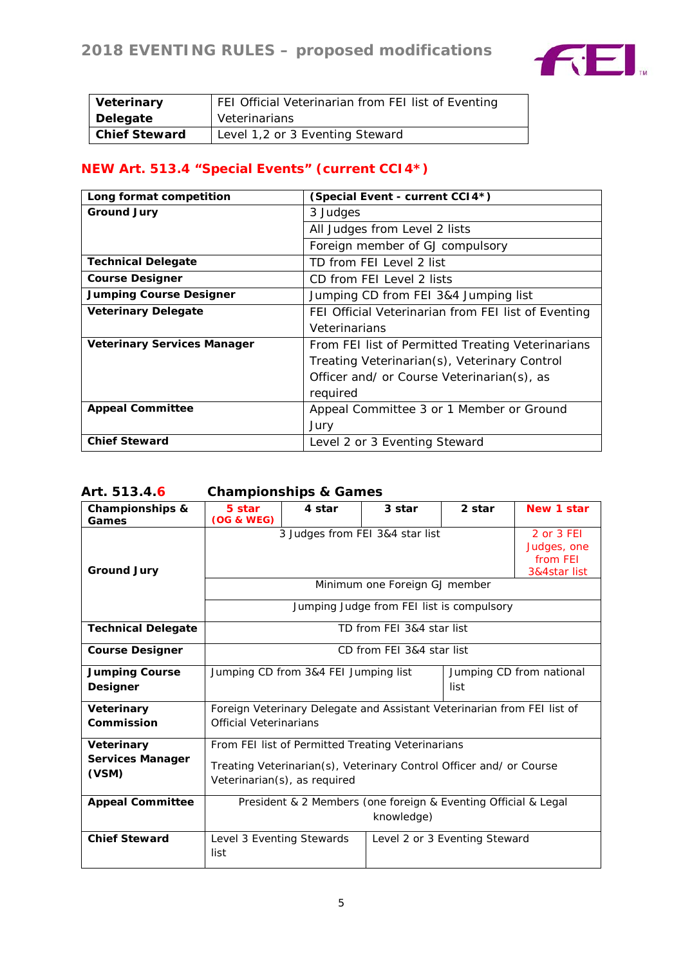

| Veterinary           | FEI Official Veterinarian from FEI list of Eventing |
|----------------------|-----------------------------------------------------|
| Delegate             | Veterinarians                                       |
| <b>Chief Steward</b> | Level 1,2 or 3 Eventing Steward                     |

# **NEW Art. 513.4 "Special Events" (current CCI4\*)**

| Long format competition            | (Special Event - current CCI4*)                     |
|------------------------------------|-----------------------------------------------------|
| <b>Ground Jury</b>                 | 3 Judges                                            |
|                                    | All Judges from Level 2 lists                       |
|                                    | Foreign member of GJ compulsory                     |
| <b>Technical Delegate</b>          | TD from FEI Level 2 list                            |
| <b>Course Designer</b>             | CD from FEI Level 2 lists                           |
| <b>Jumping Course Designer</b>     | Jumping CD from FEI 3&4 Jumping list                |
| <b>Veterinary Delegate</b>         | FEI Official Veterinarian from FEI list of Eventing |
|                                    | Veterinarians                                       |
| <b>Veterinary Services Manager</b> | From FEI list of Permitted Treating Veterinarians   |
|                                    | Treating Veterinarian(s), Veterinary Control        |
|                                    | Officer and/ or Course Veterinarian(s), as          |
|                                    | required                                            |
| <b>Appeal Committee</b>            | Appeal Committee 3 or 1 Member or Ground            |
|                                    | Jury                                                |
| <b>Chief Steward</b>               | Level 2 or 3 Eventing Steward                       |

# **Art. 513.4.6 Championships & Games**

| <b>Championships &amp;</b><br>Games      | 5 star<br><b>(OG &amp; WEG)</b>                                                                                           | 4 star | 3 star                    | 2 star | New 1 star |
|------------------------------------------|---------------------------------------------------------------------------------------------------------------------------|--------|---------------------------|--------|------------|
| <b>Ground Jury</b>                       | 3 Judges from FEI 3&4 star list<br>2 or 3 FEI<br>Judges, one<br>from FEI<br>3&4star list<br>Minimum one Foreign GJ member |        |                           |        |            |
|                                          | Jumping Judge from FEI list is compulsory                                                                                 |        |                           |        |            |
| <b>Technical Delegate</b>                |                                                                                                                           |        | TD from FEI 3&4 star list |        |            |
| <b>Course Designer</b>                   | CD from FEI 3&4 star list                                                                                                 |        |                           |        |            |
| <b>Jumping Course</b><br><b>Designer</b> | Jumping CD from 3&4 FEI Jumping list<br>Jumping CD from national<br>list                                                  |        |                           |        |            |
| <b>Veterinary</b><br>Commission          | Foreign Veterinary Delegate and Assistant Veterinarian from FEI list of<br><b>Official Veterinarians</b>                  |        |                           |        |            |
| Veterinary<br><b>Services Manager</b>    | From FEI list of Permitted Treating Veterinarians                                                                         |        |                           |        |            |
| (VSM)                                    | Treating Veterinarian(s), Veterinary Control Officer and/ or Course<br>Veterinarian(s), as required                       |        |                           |        |            |
| <b>Appeal Committee</b>                  | President & 2 Members (one foreign & Eventing Official & Legal<br>knowledge)                                              |        |                           |        |            |
| <b>Chief Steward</b>                     | Level 3 Eventing Stewards<br>Level 2 or 3 Eventing Steward<br>list                                                        |        |                           |        |            |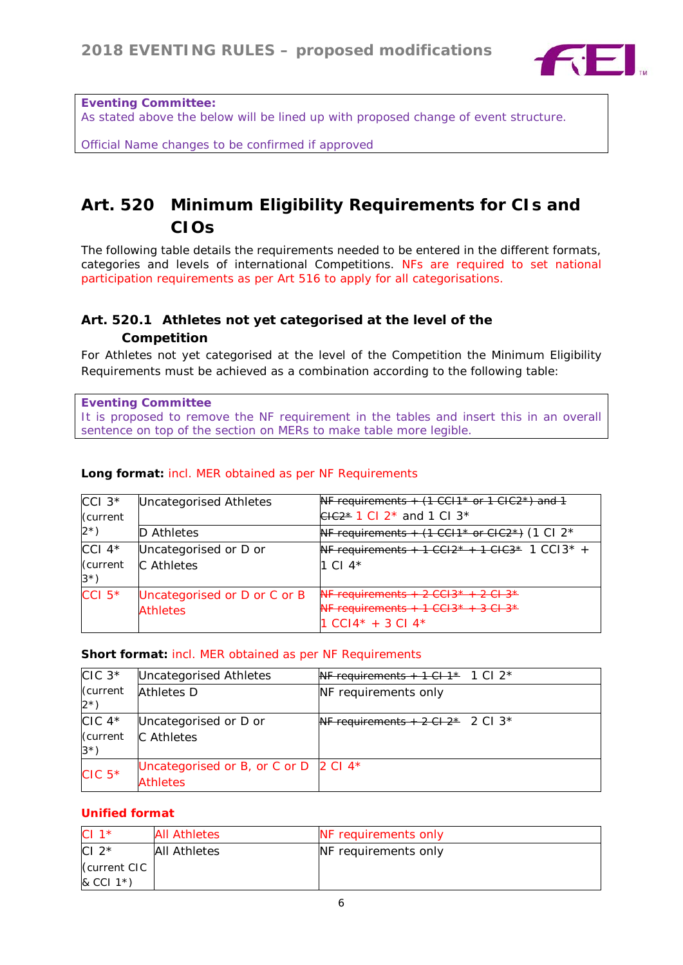

*Eventing Committee:* 

*As stated above the below will be lined up with proposed change of event structure.*

*Official Name changes to be confirmed if approved*

# **Art. 520 Minimum Eligibility Requirements for CIs and CIOs**

The following table details the requirements needed to be entered in the different formats, categories and levels of international Competitions. NFs are required to set national participation requirements as per Art 516 to apply for all categorisations.

# **Art. 520.1 Athletes not yet categorised at the level of the Competition**

For Athletes not yet categorised at the level of the Competition the Minimum Eligibility Requirements must be achieved as a combination according to the following table:

*Eventing Committee It is proposed to remove the NF requirement in the tables and insert this in an overall sentence on top of the section on MERs to make table more legible.* 

| $ CCI $ 3 <sup>*</sup> | Uncategorised Athletes       | NF requirements $+$ (1 CCI1 <sup>*</sup> or 1 CIC2 <sup>*</sup> ) and 1                                                                                     |
|------------------------|------------------------------|-------------------------------------------------------------------------------------------------------------------------------------------------------------|
| Current                |                              | $C12*$ 1 Cl 2 <sup>*</sup> and 1 Cl 3 <sup>*</sup>                                                                                                          |
| $ 2^{\star}\rangle$    | D Athletes                   | NF requirements + $(1 \text{ CCH1* or CIC2*})$ (1 Cl 2 <sup>*</sup>                                                                                         |
| CCI $4*$               | Uncategorised or D or        | <b>NF requirements + 1 CCI2* + 1 CIC3*</b> 1 CCI3* +                                                                                                        |
| Current                | C Athletes                   | 1 CI 4*                                                                                                                                                     |
| $3^{\star}$ )          |                              |                                                                                                                                                             |
| CCI $5*$               | Uncategorised or D or C or B | $\overline{\text{ME}}$ requirements $\overline{2}$ CCI2 <sup>*</sup> $\overline{2}$ CI2 <sup>*</sup>                                                        |
|                        | <b>Athletes</b>              | $\overline{\text{ME}}$ requirements $\overline{1}$ $\overline{1}$ $\overline{1}$ $\overline{1}$ $\overline{2}$ $\overline{1}$ $\overline{2}$ $\overline{3}$ |
|                        |                              | $1 CCl4* + 3 Cl4*$                                                                                                                                          |

## **Long format:** incl. MER obtained as per NF Requirements

#### **Short format:** incl. MER obtained as per NF Requirements

| $CIC$ $3*$                                        | Uncategorised Athletes                                                       | <b>NF requirements + 1 Cl 1<sup>*</sup> 1 Cl 2<sup>*</sup></b> |
|---------------------------------------------------|------------------------------------------------------------------------------|----------------------------------------------------------------|
| (current<br>$2^{\star}$ )                         | <b>Athletes D</b>                                                            | <b>NF</b> requirements only                                    |
| $CIC$ 4 <sup>*</sup><br>(current<br>$3^{\star}$ ) | Uncategorised or D or<br><b>C</b> Athletes                                   | NF requirements + $2 \text{ CI } 2^*$ 2 CI 3 <sup>*</sup>      |
| $CIC5*$                                           | Uncategorised or B, or C or D $\vert$ 2 Cl 4 <sup>*</sup><br><b>Athletes</b> |                                                                |

# **Unified format**

| $CI 1*$                   | <b>All Athletes</b> | NF requirements only |
|---------------------------|---------------------|----------------------|
| CI $2^*$                  | <b>All Athletes</b> | NF requirements only |
| Current CIC               |                     |                      |
| $\&$ CCI 1 <sup>*</sup> ) |                     |                      |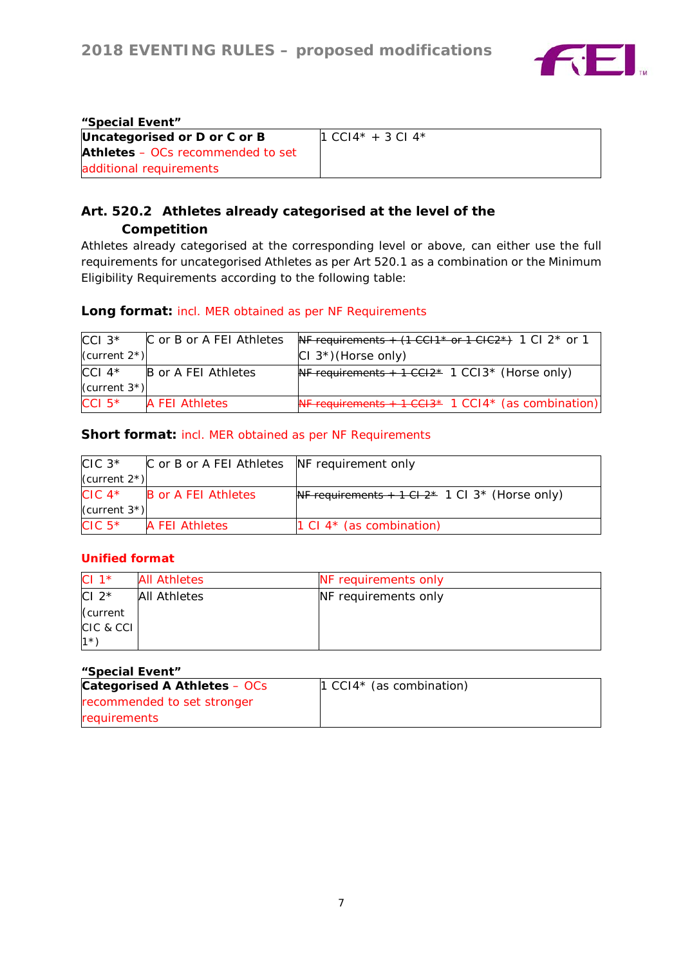

| "Special Event"                          |                                      |  |  |  |  |  |
|------------------------------------------|--------------------------------------|--|--|--|--|--|
| Uncategorised or D or C or B             | $1 \text{ CCl}4^* + 3 \text{ Cl}4^*$ |  |  |  |  |  |
| <b>Athletes</b> – OCs recommended to set |                                      |  |  |  |  |  |
| additional requirements                  |                                      |  |  |  |  |  |

# **Art. 520.2 Athletes already categorised at the level of the Competition**

Athletes already categorised at the corresponding level or above, can either use the full requirements for uncategorised Athletes as per Art 520.1 as a combination or the Minimum Eligibility Requirements according to the following table:

# **Long format:** incl. MER obtained as per NF Requirements

| $ CC13*$         | C or B or A FEI Athletes | NF requirements + $(1 \text{ CCH}^* \text{ or } 1 \text{ CHC}^*)$ 1 Cl 2 <sup>*</sup> or 1 |
|------------------|--------------------------|--------------------------------------------------------------------------------------------|
| (current $2^*$ ) |                          | $CI 3*$ (Horse only)                                                                       |
| CCI $4^*$        | B or A FEI Athletes      | NF requirements $+1$ CCI $2*$ 1 CCI $3*$ (Horse only)                                      |
| (current $3^*$ ) |                          |                                                                                            |
| $ CCI 5*$        | <b>A FEI Athletes</b>    | NF requirements $+1 \text{ }CCH3*$ 1 CCI4 <sup>*</sup> (as combination)                    |

# **Short format:** incl. MER obtained as per NF Requirements

| $CIC$ 3 <sup>*</sup> | C or B or A FEI Athletes NF requirement only |                                                               |
|----------------------|----------------------------------------------|---------------------------------------------------------------|
| (current $2^*$ )     |                                              |                                                               |
|                      | $CIC$ 4* $B$ or A FEI Athletes               | NF requirements + 1 Cl $2^*$ 1 Cl 3 <sup>*</sup> (Horse only) |
| (current $3^*$ )     |                                              |                                                               |
| $CIC5*$              | <b>A FEI Athletes</b>                        | 1 Cl $4*$ (as combination)                                    |

# **Unified format**

| CI $1^*$  | <b>All Athletes</b> | NF requirements only |
|-----------|---------------------|----------------------|
| CI $2^*$  | <b>All Athletes</b> | NF requirements only |
| (current  |                     |                      |
| CIC & CCI |                     |                      |
| $1*$      |                     |                      |

#### **"Special Event"**

| Categorised A Athletes - OCs | $\vert$ 1 CCI4 <sup>*</sup> (as combination) |
|------------------------------|----------------------------------------------|
| recommended to set stronger  |                                              |
| requirements                 |                                              |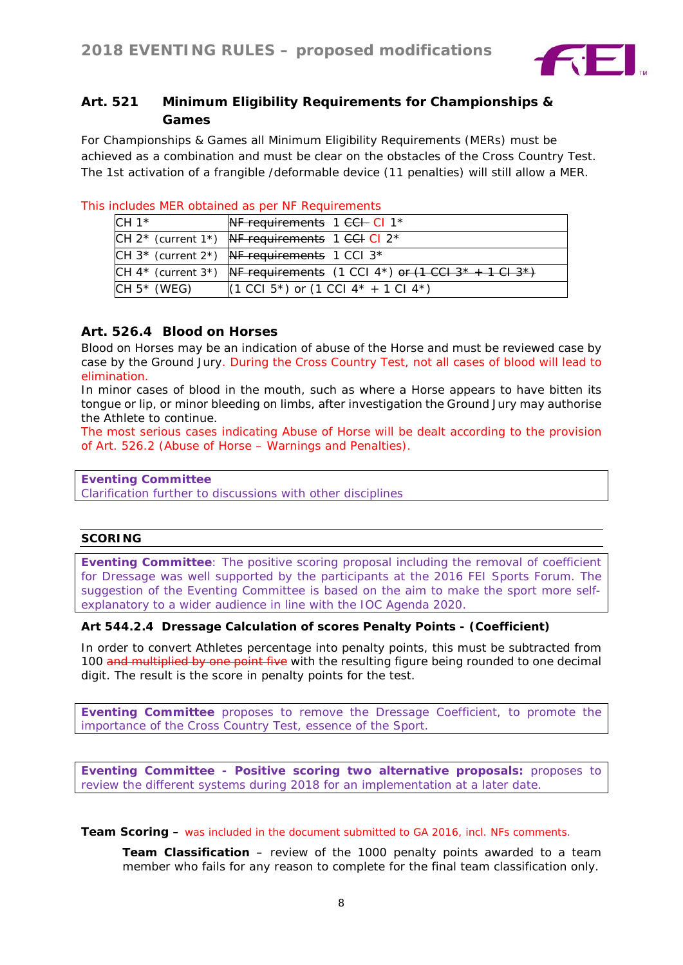

# **Art. 521 Minimum Eligibility Requirements for Championships & Games**

For Championships & Games all Minimum Eligibility Requirements (MERs) must be achieved as a combination and must be clear on the obstacles of the Cross Country Test. The 1st activation of a frangible /deformable device (11 penalties) will still allow a MER.

| $\sim$ . The contract of the contract of the contract of the contract of the contract of the contract of the contract of the contract of the contract of the contract of the contract of the contract of the contract of the co |                                                                                         |  |  |  |  |  |  |
|---------------------------------------------------------------------------------------------------------------------------------------------------------------------------------------------------------------------------------|-----------------------------------------------------------------------------------------|--|--|--|--|--|--|
| CH $1*$                                                                                                                                                                                                                         | <b>NF requirements 1 CCH CI 1<sup>*</sup></b>                                           |  |  |  |  |  |  |
|                                                                                                                                                                                                                                 | CH $2^*$ (current 1 <sup>*</sup> ) NF requirements 1 CCH CI $2^*$                       |  |  |  |  |  |  |
|                                                                                                                                                                                                                                 | CH $3^*$ (current $2^*$ ) NF requirements 1 CCI $3^*$                                   |  |  |  |  |  |  |
|                                                                                                                                                                                                                                 | $\mathsf{CH}$ 4* (current 3*) <b>NF requirements</b> (1 CCI 4*) or (1 CCI 3* + 1 CI 3*) |  |  |  |  |  |  |
| CH $5*$ (WEG)                                                                                                                                                                                                                   | $(1 \text{ CC}1 5^*)$ or $(1 \text{ CC}1 4^* + 1 \text{ C}1 4^*)$                       |  |  |  |  |  |  |

## This includes MER obtained as per NF Requirements

# **Art. 526.4 Blood on Horses**

Blood on Horses may be an indication of abuse of the Horse and must be reviewed case by case by the Ground Jury. During the Cross Country Test, not all cases of blood will lead to elimination.

In minor cases of blood in the mouth, such as where a Horse appears to have bitten its tongue or lip, or minor bleeding on limbs, after investigation the Ground Jury may authorise the Athlete to continue.

The most serious cases indicating Abuse of Horse will be dealt according to the provision of Art. 526.2 (Abuse of Horse – Warnings and Penalties).

#### *Eventing Committee*

*Clarification further to discussions with other disciplines*

#### **SCORING**

*Eventing Committee: The positive scoring proposal including the removal of coefficient for Dressage was well supported by the participants at the 2016 FEI Sports Forum. The suggestion of the Eventing Committee is based on the aim to make the sport more selfexplanatory to a wider audience in line with the IOC Agenda 2020.*

## **Art 544.2.4 Dressage Calculation of scores Penalty Points - (Coefficient)**

In order to convert Athletes percentage into penalty points, this must be subtracted from 100 and multiplied by one point five with the resulting figure being rounded to one decimal digit. The result is the score in penalty points for the test.

*Eventing Committee proposes to remove the Dressage Coefficient, to promote the importance of the Cross Country Test, essence of the Sport.* 

*Eventing Committee - Positive scoring two alternative proposals: proposes to review the different systems during 2018 for an implementation at a later date.*

**Team Scoring** – was included in the document submitted to GA 2016, incl. NFs comments.

**Team Classification** – review of the 1000 penalty points awarded to a team member who fails for any reason to complete for the final team classification only.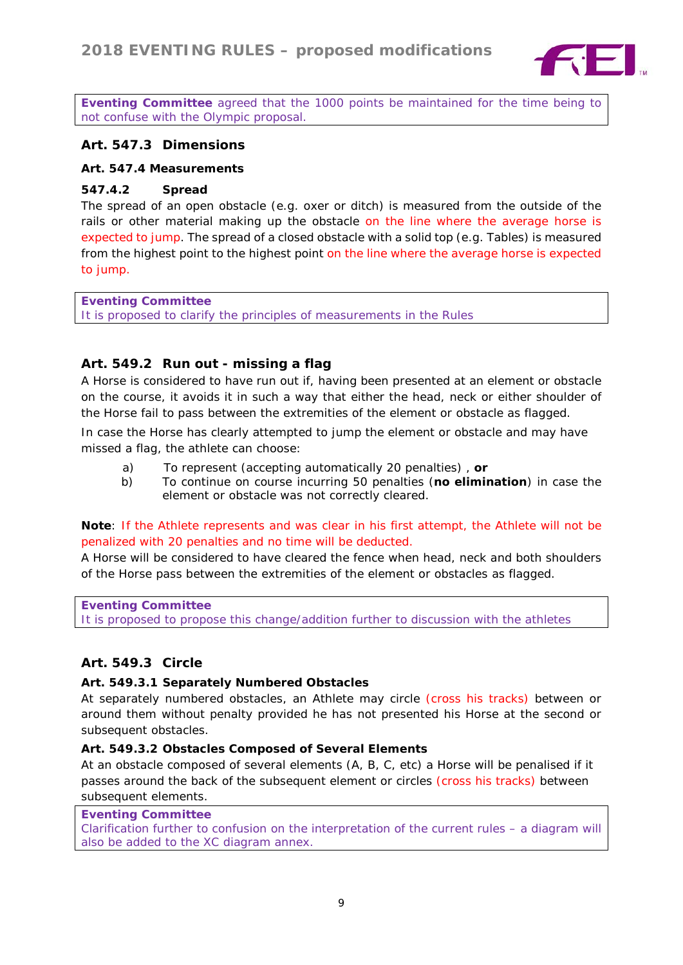

*Eventing Committee agreed that the 1000 points be maintained for the time being to not confuse with the Olympic proposal.*

# **Art. 547.3 Dimensions**

#### **Art. 547.4 Measurements**

#### **547.4.2 Spread**

The spread of an open obstacle (e.g. oxer or ditch) is measured from the outside of the rails or other material making up the obstacle on the line where the average horse is expected to jump. The spread of a closed obstacle with a solid top (e.g. Tables) is measured from the highest point to the highest point on the line where the average horse is expected to jump.

*Eventing Committee It is proposed to clarify the principles of measurements in the Rules*

## **Art. 549.2 Run out - missing a flag**

A Horse is considered to have run out if, having been presented at an element or obstacle on the course, it avoids it in such a way that either the head, neck or either shoulder of the Horse fail to pass between the extremities of the element or obstacle as flagged.

In case the Horse has clearly attempted to jump the element or obstacle and may have missed a flag, the athlete can choose:

- a) To represent (accepting automatically 20 penalties) , **or**
- b) To continue on course incurring 50 penalties (**no elimination**) in case the element or obstacle was not correctly cleared.

## **Note**: If the Athlete represents and was clear in his first attempt, the Athlete will not be penalized with 20 penalties and no time will be deducted.

A Horse will be considered to have cleared the fence when head, neck and both shoulders of the Horse pass between the extremities of the element or obstacles as flagged.

*Eventing Committee It is proposed to propose this change/addition further to discussion with the athletes*

## **Art. 549.3 Circle**

#### **Art. 549.3.1 Separately Numbered Obstacles**

At separately numbered obstacles, an Athlete may circle (cross his tracks) between or around them without penalty provided he has not presented his Horse at the second or subsequent obstacles.

#### **Art. 549.3.2 Obstacles Composed of Several Elements**

At an obstacle composed of several elements (A, B, C, etc) a Horse will be penalised if it passes around the back of the subsequent element or circles (cross his tracks) between subsequent elements.

#### *Eventing Committee*

*Clarification further to confusion on the interpretation of the current rules – a diagram will also be added to the XC diagram annex.*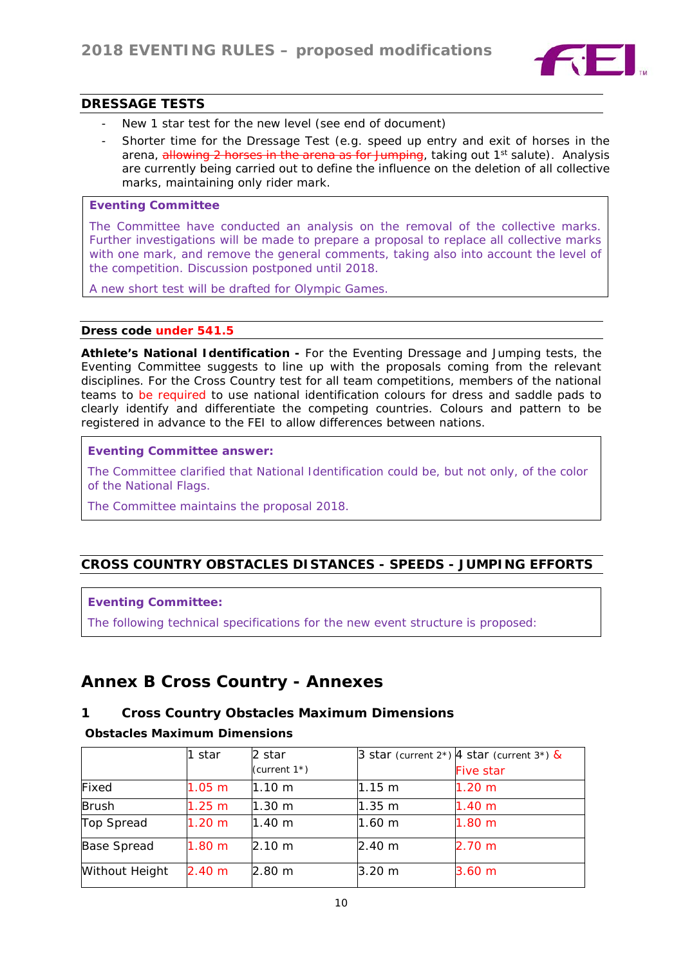

## **DRESSAGE TESTS**

- New 1 star test for the new level (see end of document)
- Shorter time for the Dressage Test (e.g. speed up entry and exit of horses in the arena, allowing 2 horses in the arena as for Jumping, taking out  $1<sup>st</sup>$  salute). Analysis are currently being carried out to define the influence on the deletion of all collective marks, maintaining only rider mark.

# *Eventing Committee*

*The Committee have conducted an analysis on the removal of the collective marks. Further investigations will be made to prepare a proposal to replace all collective marks with one mark, and remove the general comments, taking also into account the level of the competition. Discussion postponed until 2018.*

*A new short test will be drafted for Olympic Games.*

#### **Dress code under 541.5**

**Athlete's National Identification -** *For the Eventing Dressage and Jumping tests, the Eventing Committee suggests to line up with the proposals coming from the relevant disciplines. For the Cross Country test for all team competitions, members of the national teams to be required to use national identification colours for dress and saddle pads to clearly identify and differentiate the competing countries. Colours and pattern to be registered in advance to the FEI to allow differences between nations.*

*Eventing Committee answer:*

*The Committee clarified that National Identification could be, but not only, of the color of the National Flags.*

*The Committee maintains the proposal 2018.*

# *CROSS COUNTRY OBSTACLES DISTANCES - SPEEDS - JUMPING EFFORTS*

#### *Eventing Committee:*

*The following technical specifications for the new event structure is proposed*:

# **Annex B Cross Country - Annexes**

## **1 Cross Country Obstacles Maximum Dimensions**

#### **Obstacles Maximum Dimensions**

|                | 1 star            | 2 star           |                  | 3 star (current $2^*$ ) 4 star (current $3^*$ ) & |
|----------------|-------------------|------------------|------------------|---------------------------------------------------|
|                |                   | (current $1^*$ ) |                  | <b>Five star</b>                                  |
| Fixed          | 1.05 m            | 1.10 m           | $11.15 \; m$     | 1.20 <sub>m</sub>                                 |
| <b>Brush</b>   | 1.25 m            | 1.30 m           | 1.35 m           | 1.40 m                                            |
| Top Spread     | 1.20 m            | 1.40 m           | $1.60 \text{ m}$ | 1.80 <sub>m</sub>                                 |
| Base Spread    | 1.80 <sub>m</sub> | 2.10 m           | 2.40 m           | 2.70 m                                            |
| Without Height | 2.40 m            | 2.80 m           | 3.20 m           | 3.60 m                                            |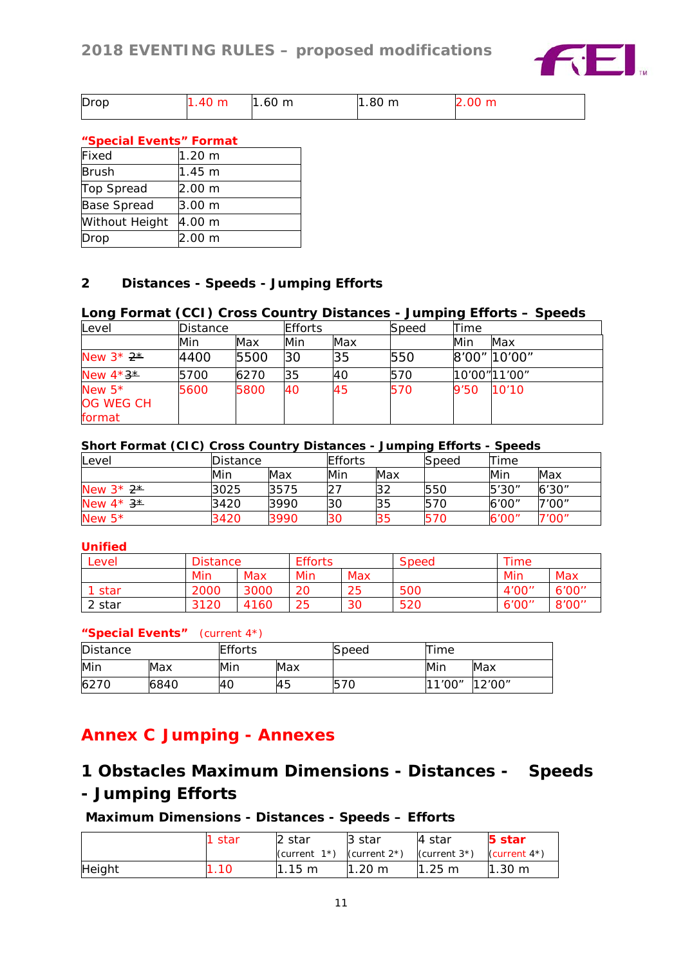

| Drop | .40 m | $1.60 \text{ m}$ | .80 <sub>m</sub> | 2.00 m |
|------|-------|------------------|------------------|--------|
|      |       |                  |                  |        |

# **"Special Events" Format**

| Fixed                 | 1.20 m            |
|-----------------------|-------------------|
| <b>Brush</b>          | l1.45 m           |
| Top Spread            | 2.00 <sub>m</sub> |
| <b>Base Spread</b>    | 3.00 m            |
| <b>Without Height</b> | 4.00 m            |
| Drop                  | 2.00 m            |

# **2 Distances - Speeds - Jumping Efforts**

# **Long Format (CCI) Cross Country Distances - Jumping Efforts – Speeds**

| Level                 | Distance |      | <b>Efforts</b> |     | Speed | Time |               |
|-----------------------|----------|------|----------------|-----|-------|------|---------------|
|                       | Min      | Max  | Min            | Max |       | Min  | Max           |
| New $3*2*$            | 4400     | 5500 | 30             | 35  | 550   |      | 8'00" 10'00"  |
| New $4*3*$            | 5700     | 6270 | 35             | 40  | 570   |      | 10'00" 11'00" |
| New $5*$<br>OG WEG CH | 5600     | 5800 | 40             | 45  | 570   | 9'50 | 10'10         |
| format                |          |      |                |     |       |      |               |

#### **Short Format (CIC) Cross Country Distances - Jumping Efforts - Speeds**

| <b>Level</b> | Distance |      | <b>Efforts</b> |     | Speed | Time  |        |
|--------------|----------|------|----------------|-----|-------|-------|--------|
|              | Min      | Max  | Min            | Max |       | Min   | Max    |
| New $3*2*$   | 3025     | 3575 |                | 32  | 550   | 5'30" | 6'30'' |
| New $4*3*$   | 3420     | 3990 | 30             | 35  | 570   | 6'00" | 7'00"  |
| New $5*$     | 3420     | 3990 | 30             | 35  | 570   | 6'00" | 7'00"  |

## **Unified**

| Level  | <b>Distance</b> | <b>Efforts</b> |     |     | <b>Speed</b> | Time   |        |
|--------|-----------------|----------------|-----|-----|--------------|--------|--------|
|        | Min             | Max            | Min | Max |              | Min    | Max    |
| star   | 2000            | 3000           | 20  | 25  | 500          | 4'00'' | 6'00'' |
| 2 star | 3120            | 4160           | 25  | 30  | 520          | 6'00'' | 8'00"  |

## **"Special Events"** (current 4\*)

| Distance |      | <b>Efforts</b> |     | Speed | Time   |         |
|----------|------|----------------|-----|-------|--------|---------|
| Min      | Max  | Min            | Max |       | Min    | Max     |
| 6270     | 6840 | l40            | 45  | 570   | 11'00″ | 12'00'' |

# **Annex C Jumping - Annexes**

# **1 Obstacles Maximum Dimensions - Distances - Speeds - Jumping Efforts**

## **Maximum Dimensions - Distances - Speeds – Efforts**

|        | -star | l2 star                           | 13 star          | 4 star                            | <b>5 star</b>      |
|--------|-------|-----------------------------------|------------------|-----------------------------------|--------------------|
|        |       | (current $1^*$ ) (current $2^*$ ) |                  | (current $3^*$ ) (current $4^*$ ) |                    |
| Height |       | $1.15 \text{ m}$                  | $1.20 \text{ m}$ | $1.25 \; m$                       | $1.30 \; \text{m}$ |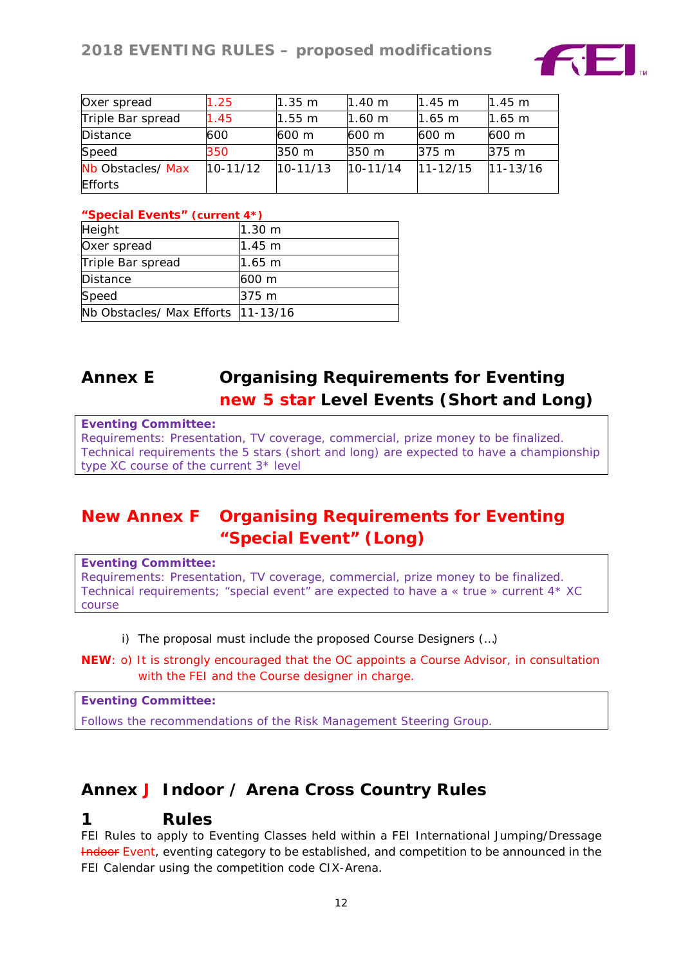

| Oxer spread       | 1.25         | $1.35 \text{ m}$ | $1.40 \;{\rm m}$ | 1.45 m       | l1.45 m          |
|-------------------|--------------|------------------|------------------|--------------|------------------|
| Triple Bar spread | 1.45         | 1.55 m           | $1.60 \text{ m}$ | 1.65 m       | $1.65 \text{ m}$ |
| <b>Distance</b>   | 600          | 600 m            | 600 m            | 600 m        | 600 m            |
| Speed             | 350          | 350 m            | 350 m            | 375 m        | 375 <sub>m</sub> |
| Nb Obstacles/ Max | $10 - 11/12$ | $10 - 11/13$     | $10 - 11/14$     | $11 - 12/15$ | $11 - 13/16$     |
| <b>Efforts</b>    |              |                  |                  |              |                  |

## **"Special Events" (current 4\*)**

| Height                              | 1.30 m           |
|-------------------------------------|------------------|
| Oxer spread                         | 1.45 m           |
| Triple Bar spread                   | 1.65 m           |
| <b>Distance</b>                     | 600 m            |
| Speed                               | 375 <sub>m</sub> |
| Nb Obstacles/ Max Efforts  11-13/16 |                  |

# **Annex E Organising Requirements for Eventing new 5 star Level Events (Short and Long)**

#### *Eventing Committee:*

*Requirements: Presentation, TV coverage, commercial, prize money to be finalized. Technical requirements the 5 stars (short and long) are expected to have a championship type XC course of the current 3\* level*

# **New Annex F Organising Requirements for Eventing "Special Event" (Long)**

*Eventing Committee: Requirements: Presentation, TV coverage, commercial, prize money to be finalized. Technical requirements; "special event" are expected to have a « true » current 4\* XC course*

- i) The proposal must include the proposed Course Designers (…)
- **NEW**: o) It is strongly encouraged that the OC appoints a Course Advisor, in consultation with the FEI and the Course designer in charge.

*Eventing Committee:*

*Follows the recommendations of the Risk Management Steering Group.*

# **Annex J Indoor / Arena Cross Country Rules**

# *1 Rules*

FEI Rules to apply to Eventing Classes held within a FEI International Jumping/Dressage Indoor Event, eventing category to be established, and competition to be announced in the FEI Calendar using the competition code *CIX-Arena*.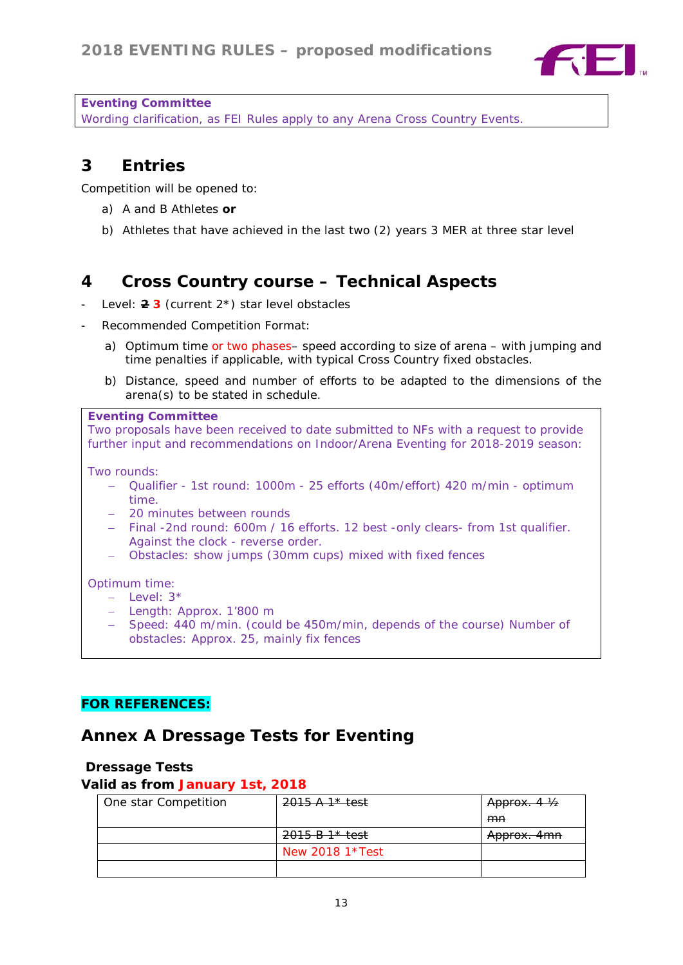

#### *Eventing Committee*

*Wording clarification, as FEI Rules apply to any Arena Cross Country Events.*

# *3 Entries*

Competition will be opened to:

- a) A and B Athletes **or**
- b) Athletes that have achieved in the last two (2) years 3 MER at three star level

# *4 Cross Country course – Technical Aspects*

- Level: 2 3 (current 2<sup>\*</sup>) star level obstacles
- Recommended Competition Format:
	- a) Optimum time or two phases– speed according to size of arena with jumping and time penalties if applicable, with typical Cross Country fixed obstacles.
	- b) Distance, speed and number of efforts to be adapted to the dimensions of the arena(s) to be stated in schedule.

#### *Eventing Committee*

*Two proposals have been received to date submitted to NFs with a request to provide further input and recommendations on Indoor/Arena Eventing for 2018-2019 season:*

Two rounds:

- − Qualifier 1st round: 1000m 25 efforts (40m/effort) 420 m/min optimum time.
- − 20 minutes between rounds
- − Final -2nd round: 600m / 16 efforts. 12 best -only clears- from 1st qualifier. Against the clock - reverse order.
- − Obstacles: show jumps (30mm cups) mixed with fixed fences

## Optimum time:

- − Level: 3\*
- − Length: Approx. 1'800 m
- − Speed: 440 m/min. (could be 450m/min, depends of the course) Number of obstacles: Approx. 25, mainly fix fences

# **FOR REFERENCES:**

# **Annex A Dressage Tests for Eventing**

# **Dressage Tests**

# **Valid as from January 1st, 2018**

| One star Competition | $2015 A1* test$   | <del>Approx. 4 ½</del> |
|----------------------|-------------------|------------------------|
|                      |                   | mn                     |
|                      | $2015 B1* test$   | Approx. 4mn            |
|                      | New 2018 $1*Test$ |                        |
|                      |                   |                        |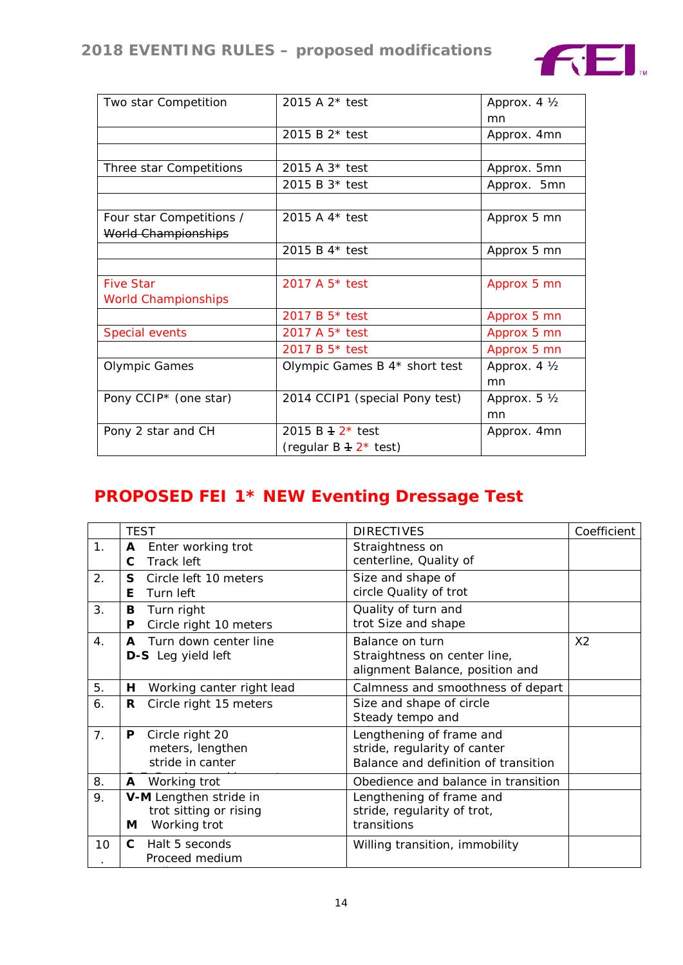

| Two star Competition              | 2015 A 2* test                 | Approx. 4 1/2 |
|-----------------------------------|--------------------------------|---------------|
|                                   |                                | mn            |
|                                   | 2015 B $2*$ test               | Approx. 4mn   |
|                                   |                                |               |
| Three star Competitions           | 2015 A 3* test                 | Approx. 5mn   |
|                                   | 2015 B 3* test                 | Approx. 5mn   |
|                                   |                                |               |
| Four star Competitions /          | 2015 A 4* test                 | Approx 5 mn   |
| World Championships               |                                |               |
|                                   | 2015 B 4* test                 | Approx 5 mn   |
|                                   |                                |               |
| <b>Five Star</b>                  | 2017 A 5 <sup>*</sup> test     | Approx 5 mn   |
| <b>World Championships</b>        |                                |               |
|                                   | 2017 B 5 <sup>*</sup> test     | Approx 5 mn   |
| Special events                    | 2017 A 5* test                 | Approx 5 mn   |
|                                   | 2017 B 5* test                 | Approx 5 mn   |
| <b>Olympic Games</b>              | Olympic Games B 4* short test  | Approx. 4 1/2 |
|                                   |                                | mn            |
| Pony CCIP <sup>*</sup> (one star) | 2014 CCIP1 (special Pony test) | Approx. 5 1/2 |
|                                   |                                | mn            |
| Pony 2 star and CH                | 2015 B $+ 2*$ test             | Approx. 4mn   |
|                                   | (regular $B + 2^*$ test)       |               |

# **PROPOSED FEI 1\* NEW Eventing Dressage Test**

|    | <b>TEST</b>  |                           | <b>DIRECTIVES</b>                    | Coefficient    |
|----|--------------|---------------------------|--------------------------------------|----------------|
| 1. | A            | Enter working trot        | Straightness on                      |                |
|    | C            | Track left                | centerline, Quality of               |                |
| 2. | S            | Circle left 10 meters     | Size and shape of                    |                |
|    | Е            | Turn left                 | circle Quality of trot               |                |
| 3. | В            | Turn right                | Quality of turn and                  |                |
|    | P            | Circle right 10 meters    | trot Size and shape                  |                |
| 4. | A            | Turn down center line     | Balance on turn                      | X <sub>2</sub> |
|    |              | <b>D-S</b> Leg yield left | Straightness on center line,         |                |
|    |              |                           | alignment Balance, position and      |                |
| 5. | H.           | Working canter right lead | Calmness and smoothness of depart    |                |
| 6. | R.           | Circle right 15 meters    | Size and shape of circle             |                |
|    |              |                           | Steady tempo and                     |                |
| 7. | P            | Circle right 20           | Lengthening of frame and             |                |
|    |              | meters, lengthen          | stride, regularity of canter         |                |
|    |              | stride in canter          | Balance and definition of transition |                |
| 8. | A            | Working trot              | Obedience and balance in transition  |                |
| 9. |              | V-M Lengthen stride in    | Lengthening of frame and             |                |
|    |              | trot sitting or rising    | stride, regularity of trot,          |                |
|    | М            | Working trot              | transitions                          |                |
| 10 | $\mathbf{C}$ | Halt 5 seconds            | Willing transition, immobility       |                |
|    |              | Proceed medium            |                                      |                |
|    |              |                           |                                      |                |